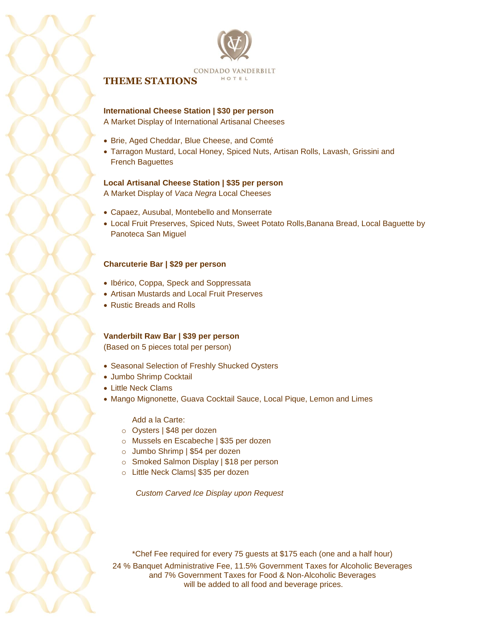



# **THEME STATIONS**

**International Cheese Station | \$30 per person**

A Market Display of International Artisanal Cheeses

- Brie, Aged Cheddar, Blue Cheese, and Comté
- Tarragon Mustard, Local Honey, Spiced Nuts, Artisan Rolls, Lavash, Grissini and French Baguettes

## **Local Artisanal Cheese Station | \$35 per person**

A Market Display of *Vaca Negra* Local Cheeses

- Capaez, Ausubal, Montebello and Monserrate
- Local Fruit Preserves, Spiced Nuts, Sweet Potato Rolls,Banana Bread, Local Baguette by Panoteca San Miguel

## **Charcuterie Bar | \$29 per person**

- Ibérico, Coppa, Speck and Soppressata
- Artisan Mustards and Local Fruit Preserves
- Rustic Breads and Rolls

## **Vanderbilt Raw Bar | \$39 per person**

(Based on 5 pieces total per person)

- Seasonal Selection of Freshly Shucked Oysters
- Jumbo Shrimp Cocktail
- Little Neck Clams
- Mango Mignonette, Guava Cocktail Sauce, Local Pique, Lemon and Limes

Add a la Carte:

- o Oysters | \$48 per dozen
- o Mussels en Escabeche | \$35 per dozen
- o Jumbo Shrimp | \$54 per dozen
- o Smoked Salmon Display | \$18 per person
- o Little Neck Clams| \$35 per dozen

*Custom Carved Ice Display upon Request*

24 % Banquet Administrative Fee, 11.5% Government Taxes for Alcoholic Beverages and 7% Government Taxes for Food & Non-Alcoholic Beverages will be added to all food and beverage prices. \*Chef Fee required for every 75 guests at \$175 each (one and a half hour)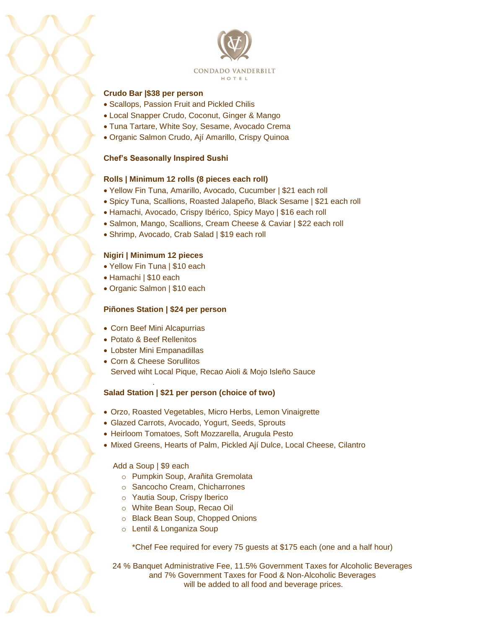



## **Crudo Bar |\$38 per person**

- Scallops, Passion Fruit and Pickled Chilis
- Local Snapper Crudo, Coconut, Ginger & Mango
- Tuna Tartare, White Soy, Sesame, Avocado Crema
- Organic Salmon Crudo, Ají Amarillo, Crispy Quinoa

#### **Chef's Seasonally Inspired Sushi**

## **Rolls | Minimum 12 rolls (8 pieces each roll)**

- Yellow Fin Tuna, Amarillo, Avocado, Cucumber | \$21 each roll
- Spicy Tuna, Scallions, Roasted Jalapeño, Black Sesame | \$21 each roll
- Hamachi, Avocado, Crispy Ibérico, Spicy Mayo | \$16 each roll
- Salmon, Mango, Scallions, Cream Cheese & Caviar | \$22 each roll
- Shrimp, Avocado, Crab Salad | \$19 each roll

#### **Nigiri | Minimum 12 pieces**

- Yellow Fin Tuna | \$10 each
- Hamachi | \$10 each
- Organic Salmon | \$10 each

#### **Piñones Station | \$24 per person**

- Corn Beef Mini Alcapurrias
- Potato & Beef Rellenitos
- Lobster Mini Empanadillas

.

 Corn & Cheese Sorullitos Served wiht Local Pique, Recao Aioli & Mojo Isleño Sauce

## **Salad Station | \$21 per person (choice of two)**

- Orzo, Roasted Vegetables, Micro Herbs, Lemon Vinaigrette
- Glazed Carrots, Avocado, Yogurt, Seeds, Sprouts
- Heirloom Tomatoes, Soft Mozzarella, Arugula Pesto
- Mixed Greens, Hearts of Palm, Pickled Ají Dulce, Local Cheese, Cilantro

#### Add a Soup | \$9 each

- o Pumpkin Soup, Arañita Gremolata
- o Sancocho Cream, Chicharrones
- o Yautia Soup, Crispy Iberico
- o White Bean Soup, Recao Oil
- o Black Bean Soup, Chopped Onions
- o Lentil & Longaniza Soup

\*Chef Fee required for every 75 guests at \$175 each (one and a half hour)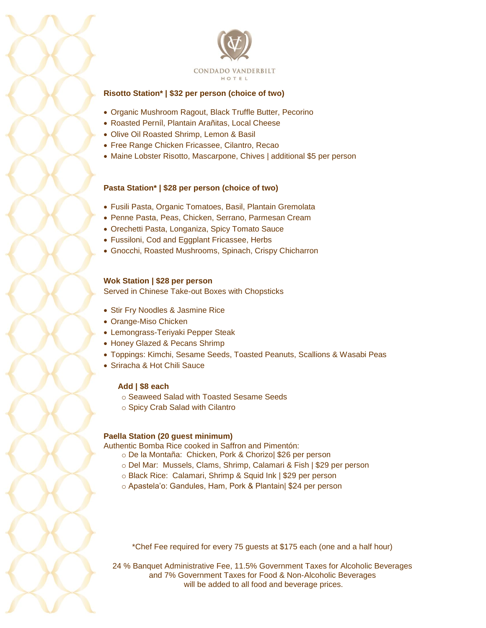

## **Risotto Station\* | \$32 per person (choice of two)**

- Organic Mushroom Ragout, Black Truffle Butter, Pecorino
- Roasted Perníl, Plantain Arañitas, Local Cheese
- Olive Oil Roasted Shrimp, Lemon & Basil
- Free Range Chicken Fricassee, Cilantro, Recao
- Maine Lobster Risotto, Mascarpone, Chives | additional \$5 per person

#### **Pasta Station\* | \$28 per person (choice of two)**

- Fusili Pasta, Organic Tomatoes, Basil, Plantain Gremolata
- Penne Pasta, Peas, Chicken, Serrano, Parmesan Cream
- Orechetti Pasta, Longaniza, Spicy Tomato Sauce
- Fussiloni, Cod and Eggplant Fricassee, Herbs
- Gnocchi, Roasted Mushrooms, Spinach, Crispy Chicharron

#### **Wok Station | \$28 per person**

Served in Chinese Take-out Boxes with Chopsticks

- Stir Fry Noodles & Jasmine Rice
- Orange-Miso Chicken
- Lemongrass-Teriyaki Pepper Steak
- Honey Glazed & Pecans Shrimp
- Toppings: Kimchi, Sesame Seeds, Toasted Peanuts, Scallions & Wasabi Peas
- Sriracha & Hot Chili Sauce

#### **Add | \$8 each**

- o Seaweed Salad with Toasted Sesame Seeds
- o Spicy Crab Salad with Cilantro

#### **Paella Station (20 guest minimum)**

Authentic Bomba Rice cooked in Saffron and Pimentón:

- o De la Montaña: Chicken, Pork & Chorizo| \$26 per person
- o Del Mar: Mussels, Clams, Shrimp, Calamari & Fish | \$29 per person
- o Black Rice: Calamari, Shrimp & Squid Ink | \$29 per person
- o Apastela'o: Gandules, Ham, Pork & Plantain| \$24 per person

\*Chef Fee required for every 75 guests at \$175 each (one and a half hour)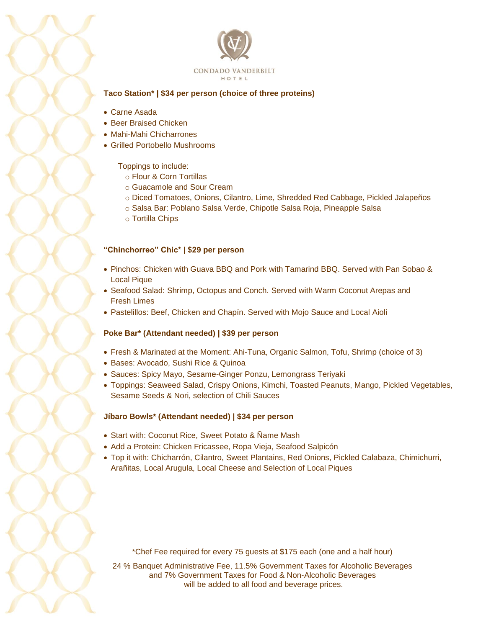

## **Taco Station\* | \$34 per person (choice of three proteins)**

- Carne Asada
- Beer Braised Chicken
- Mahi-Mahi Chicharrones
- Grilled Portobello Mushrooms

## Toppings to include:

- o Flour & Corn Tortillas
- o Guacamole and Sour Cream
- o Diced Tomatoes, Onions, Cilantro, Lime, Shredded Red Cabbage, Pickled Jalapeños
- o Salsa Bar: Poblano Salsa Verde, Chipotle Salsa Roja, Pineapple Salsa
- o Tortilla Chips

## **"Chinchorreo" Chic\* | \$29 per person**

- Pinchos: Chicken with Guava BBQ and Pork with Tamarind BBQ. Served with Pan Sobao & Local Pique
- Seafood Salad: Shrimp, Octopus and Conch. Served with Warm Coconut Arepas and Fresh Limes
- Pastelillos: Beef, Chicken and Chapín. Served with Mojo Sauce and Local Aioli

## **Poke Bar\* (Attendant needed) | \$39 per person**

- Fresh & Marinated at the Moment: Ahi-Tuna, Organic Salmon, Tofu, Shrimp (choice of 3)
- Bases: Avocado, Sushi Rice & Quinoa
- Sauces: Spicy Mayo, Sesame-Ginger Ponzu, Lemongrass Teriyaki
- Toppings: Seaweed Salad, Crispy Onions, Kimchi, Toasted Peanuts, Mango, Pickled Vegetables, Sesame Seeds & Nori, selection of Chili Sauces

## **Jíbaro Bowls\* (Attendant needed) | \$34 per person**

- Start with: Coconut Rice, Sweet Potato & Ñame Mash
- Add a Protein: Chicken Fricassee, Ropa Vieja, Seafood Salpicón
- Top it with: Chicharrón, Cilantro, Sweet Plantains, Red Onions, Pickled Calabaza, Chimichurri, Arañitas, Local Arugula, Local Cheese and Selection of Local Piques

\*Chef Fee required for every 75 guests at \$175 each (one and a half hour)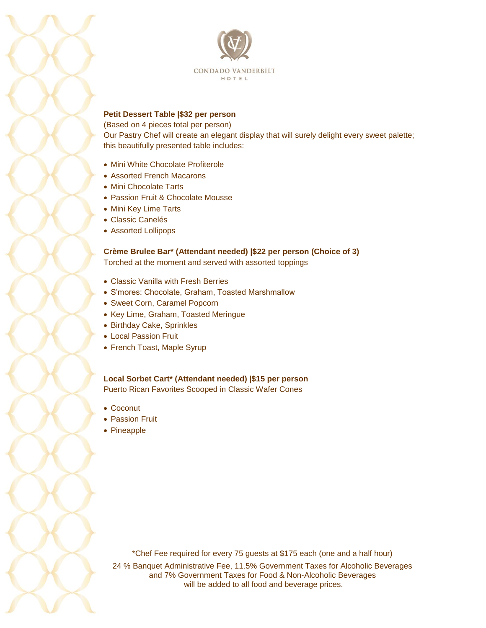

## **Petit Dessert Table |\$32 per person**

(Based on 4 pieces total per person)

Our Pastry Chef will create an elegant display that will surely delight every sweet palette; this beautifully presented table includes:

- Mini White Chocolate Profiterole
- Assorted French Macarons
- Mini Chocolate Tarts
- Passion Fruit & Chocolate Mousse
- Mini Key Lime Tarts
- Classic Canelés
- Assorted Lollipops

**Crème Brulee Bar\* (Attendant needed) |\$22 per person (Choice of 3)**  Torched at the moment and served with assorted toppings

- Classic Vanilla with Fresh Berries
- S'mores: Chocolate, Graham, Toasted Marshmallow
- Sweet Corn, Caramel Popcorn
- Key Lime, Graham, Toasted Meringue
- Birthday Cake, Sprinkles
- Local Passion Fruit
- French Toast, Maple Syrup

**Local Sorbet Cart\* (Attendant needed) |\$15 per person**  Puerto Rican Favorites Scooped in Classic Wafer Cones

- Coconut
- Passion Fruit
- Pineapple

\*Chef Fee required for every 75 guests at \$175 each (one and a half hour)